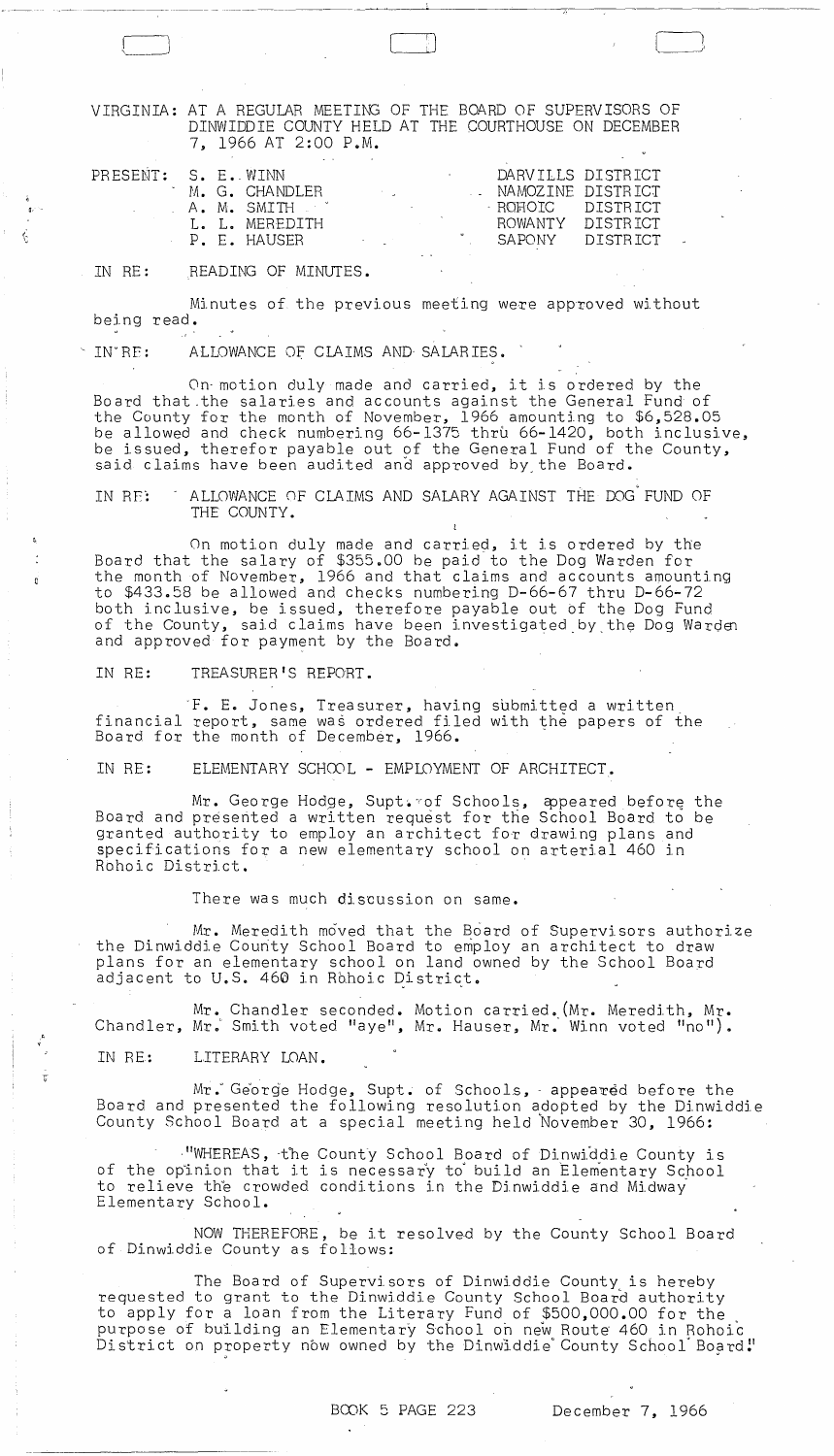VIRGINIA: AT A REGULAR MEETING OF THE BOARD OF SUPERVISORS OF DINWIDDIE COUNTY HELD AT THE COURTHOUSE ON DECEMBER 7, 1966 AT 2:00 P.M.

: )<br>: )

| PRESENT: S. E. WINN |  | M. G. CHANDLER<br>. A. M. SMITH<br>I. I. MEREDITH | <b>Contractor</b>             | $\sim$ |  | DARVILLS DISTRICT<br>NAMOZINE DISTRICT<br>- ROHOTC DISTRICT<br>ROWANTY DISTRICT |  |
|---------------------|--|---------------------------------------------------|-------------------------------|--------|--|---------------------------------------------------------------------------------|--|
|                     |  | P. F. HAUSFR                                      | and the state of the state of |        |  | SAPONY DISTRICT                                                                 |  |

IN RE: READING OF MINUTES.

Minutes of the previous meeting were approved without being read.

IN'RE: ALLOWANCE OF CLAIMS AND SALARIES.

Q •.

**V** 

On· motion duly made and carried, it is ordered by the Board that.the salaries and accounts against the General Fund of the County for the month of November, 1966 amounting to \$6,528.05 be allowed and check numbering 66-1375 thru 66-1420, both inclusive, be issued, therefor payable out of the General Fund of the County,

said claims have been audited and approved by the Board.

IN RE: ALLOWANCE OF CLAIMS AND SALARY AGAINST THE DOG FUND OF THE COUNTY.

On motion duly made and carried, it is ordered by the Board that the salary of \$355.00 be paid to the Dog Warden for the month of November, 1966 and that claims and accounts amounting to \$433.58 be allowed and checks numbering D-66-67 thru D-66-72 both inclusive, be issued, therefore payable out *bf* the Dog Fund of the County, said claims have been investigated by the Dog Warden and approved for payment by the Board. '

IN RE: TREASURER'S REPORT.

·F. E. Jones, Treasurer, having sbbmitted a written financial report, same was ordered filed with the papers of the Board for the month of December, 1966.

IN RE: ELEMENTARY SCHOOL - EMPLOYMENT OF ARCHITECT.

Mr. George Hodge, Supt. rof Schools, appeared before the Board and presented a written request for the School Board to be granted authority to employ an architect for drawing plans and specifications for a new elementary school on arterial 460 in Rohoic District.

There was much discussion on same.

Mr. Meredith moved that the Board of Supervisors authorize the Dinwiddie County School Board to employ an architect to draw plans for an elementary school on land owned by the School Board adjacent to U.S. 460 in Rohoic District.

Mr. Chandler seconded. Motion carried. (Mr. Meredith, Mr. Chandler, Mr. Smith voted "aye", Mr. Hauser, Mr. Winn voted "no").

IN RE: LITERARY LOAN.

Mr. George Hodge, Supt. of Schools, - appeared before the Board and presented the following resolution adopted by the Dinwiddie County School Board at a special meeting held November 30, 1966:

WHEREAS, the County School Board of Dinwiddie County is of the opinion that it is necessary to build an Elementary School to relieve the crowded conditions in the Dinwiddie and Midway Elementary School.

NOW THEREFORE, be it resolved by the County School Board of Dinwiddie County as follows:

The Board of Supervisors of Dinwiddie County is hereby requested to grant to the Dinwiddie County School Board authority to apply for a loan from the Literary Fund of \$500,000.00 for the purpose of building an Elementary School on new Route 460 in Rohoic parpose or sammaing an Erementary sensor on new heate hos in honore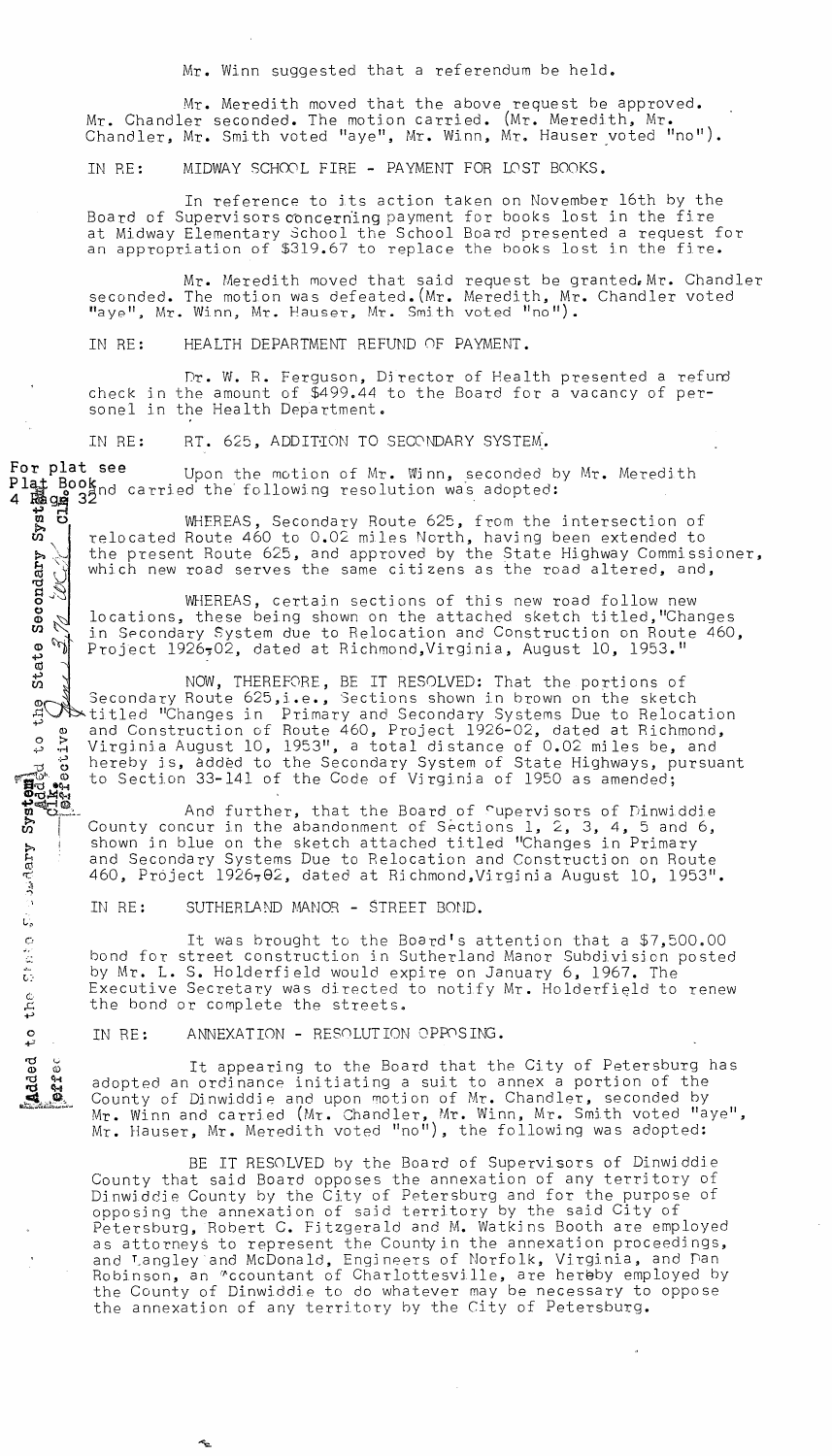Mr. Winn suggested that a referendum be held.

Mr. Meredith moved that the above request be approved. Mr. Chandler seconded. The motion carried. (Mr. Meredith, Mr. Chandler, Mr. Smith voted "aye", Mr. Winn, Mr. Hauser voted "no").

IN RE: MIDWAY SCHOOL FIRE - PAYMENT FOR LOST BOOKS.

In reference to its action taken on November 16th by the Board of Supervisors concerning payment for books lost in the fire at Midway Elementary School the School Board presented a request for<br>an appropriation of \$319.67 to replace the books lost in the fire.

Mr. Meredith moved that said request be granted. Mr. Chandler seconded. The motion was defeated. (Mr. Meredith, Mr. Chandler voted "aye", Mr. Winn, Mr. Hauser, Mr. Smith voted "no").

IN RE: HEALTH DEPARTMENT REFUND OF PAYMENT.

Dr. W. R. Ferguson, Director of Health presented a refund check in the amount of \$499.44 to the Board for a vacancy of personel in the Health Department.

RT. 625, ADDITION TO SECONDARY SYSTEM. IN RE:

For plat see Upon the motion of Mr. Winn, seconded by Mr. Meredith

> WHEREAS, Secondary Route 625, from the intersection of relocated Route 460 to 0.02 miles North, having been extended to the present Route 625, and approved by the State Highway Commissioner, which new road serves the same citizens as the road altered, and,

WHEREAS, certain sections of this new road follow new locations, these being shown on the attached sketch titled, "Changes in Secondary System due to Relocation and Construction on Route 460, Project 1926,02, dated at Richmond, Virginia, August 10, 1953."

IN RE: RT. 625, ADDITION TO SECONDARY SYSTEM.<br>
For plate seed to the notion of Mr. Winn, secondary system.<br>
Plate Books carried the following resolution was adopted:<br>
Figure 3<br>
The present Route 625, so and approved by th NOW, THEREFORE, BE IT RESOLVED: That the portions of Secondary Route 625, i.e., Sections shown in brown on the sketch titled "Changes in Primary and Secondary Systems Due to Relocation and Construction of Route 460, Project 1926-02, dated at Richmond, Virginia August 10, 1953", a total distance of 0.02 miles be, and hereby is, added to the Secondary System of State Highways, pursuant to Section 33-141 of the Code of Virginia of 1950 as amended;

And further, that the Board of Cupervisors of Dinwiddie County concur in the abandonment of Sections 1, 2, 3, 4, 5 and 6, shown in blue on the sketch attached titled "Changes in Primary and Secondary Systems Due to Relocation and Construction on Route 460, Project 1926, 02, dated at Richmond, Virginia August 10, 1953".

It was brought to the Board's attention that a \$7,500.00 bond for street construction in Sutherland Manor Subdivision posted by Mr. L. S. Holderfield would expire on January 6, 1967. The Executive Secretary was directed to notify Mr. Holderfield to renew

It appearing to the Board that the City of Petersburg has adopted an ordinance initiating a suit to annex a portion of the County of Dinwiddie and upon motion of Mr. Chandler, seconded by Mr. Winn and carried (Mr. Chandler, Mr. Winn, Mr. Smith voted "aye",<br>Mr. Hauser, Mr. Meredith voted "no"), the following was adopted:

BE IT RESOLVED by the Board of Supervisors of Dinwiddie County that said Board opposes the annexation of any territory of Dinwiddie County by the City of Petersburg and for the purpose of opposing the annexation of said territory by the said City of Petersburg, Robert C. Fitzgerald and M. Watkins Booth are employed as attorneys to represent the County in the annexation proceedings, and Langley and McDonald, Engineers of Norfolk, Virginia, and Dan Robinson, an "ccountant of Charlottesville, are hereby employed by the County of Dinwiddie to do whatever may be necessary to oppose the annexation of any territory by the City of Petersburg.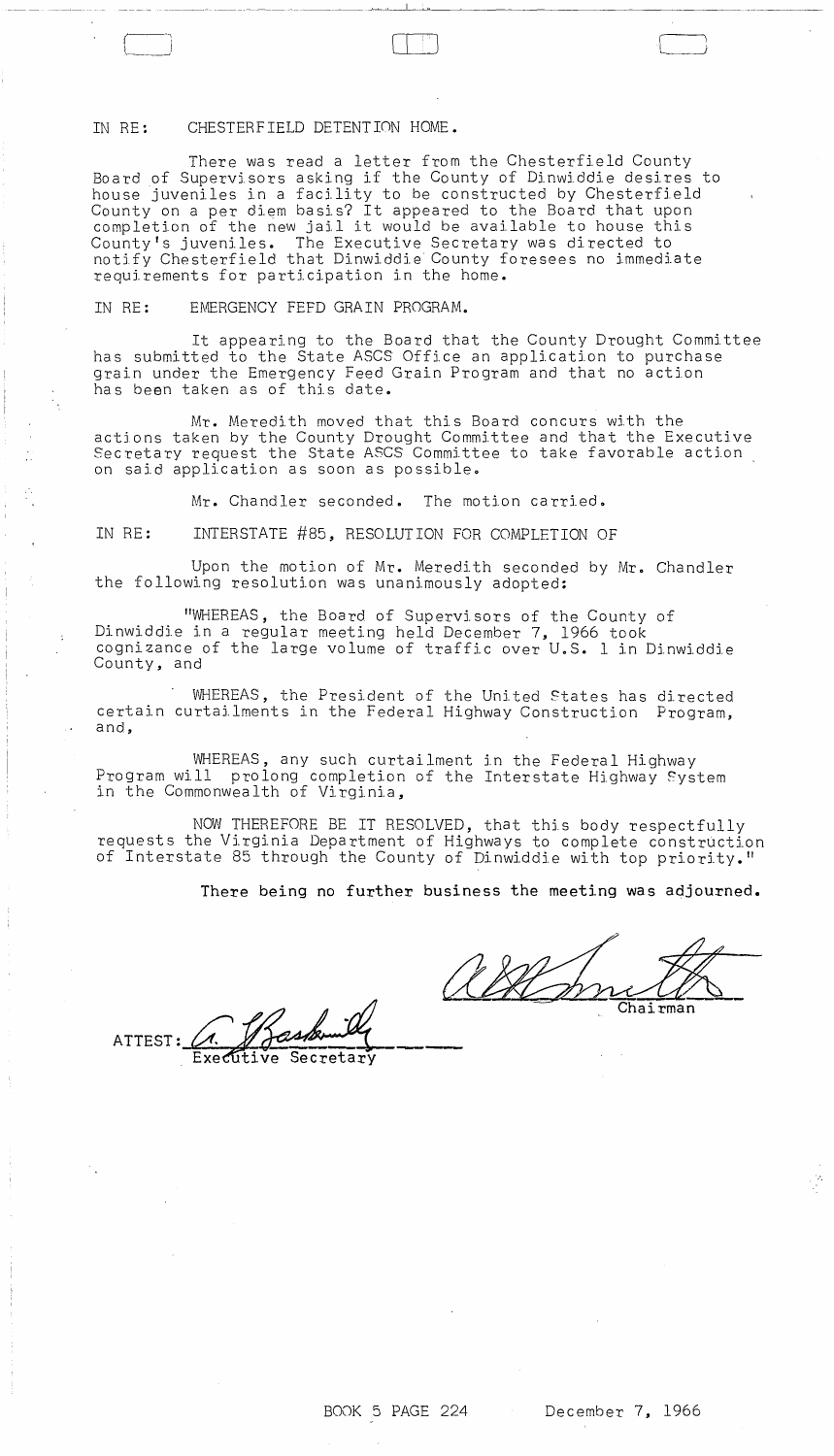## IN RE: CHESTERFIELD DETENTION HOME.

There was read a letter from the Chesterfield County Board of Supervj,sors asking if the County of Dinwiddie desires to house juveniles in a facility to be constructed by Chesterfield County on a per diem basis? It appeared to the Board that upon completion of the new jail it would be available to house this County's juveniles. The Executive Secretary was directed to notjfy Chesterfield that Dinwiddie County foresees no immediate requirements for participation in the home.

 $\begin{bmatrix} 1 & 1 \end{bmatrix}$ 

~\_ \_~~~~ \_\_ ,\_ ~~ \_ \_ \_~ \_\_ ~ \_~~\_~\_~ \_\_\_\_ ~~~ \_\_\_\_ ~ .\_~~~ \_\_ ~\_ ~~.L-~\_~ \_\_\_\_\_ ~ \_\_\_\_\_\_\_\_\_ \_

IN RE: EMERGENCY FEFD GRAIN PROGRAM.

It appearing to the Board that the County Drought Committee has submitted to the State ASCS Office an application to purchase grain under the Emergency Feed Grain Program and that no action has been taken as of this date.

Mr. Meredith moved that this Board concurs with the actjons taken by the County Drought Committee and that the Executive Secretary request the State ASCS Committee to take favorable action on said application as soon as possible.

Mr. Chandler seconded. The motion carried.

IN RE: INTERSTATE #85, RESOLUTION FOR COMPLETION OF

Upon the motion of Mr. Meredith seconded by Mr. Chandler the following resolution was unanimously adopted:

"WHEREAS, the Board of Supervisors of the County of Dinwiddie in a regular meeting held December 7, 1966 took cognizance of the large volume of traffic over U.S. 1 in Dinwiddie County, and

WHEREAS, the President of the United States has directed certain curtailments in the Federal Highway Construction Program, and,

WHEREAS, any such curtailment in the Federal Highway Program will prolong completion of the Interstate Highway System in the Commonwealth of Virginia,

NOW THEREFORE BE IT RESOLVED, that this body respectfully requests the Virginia Department of Highways to complete construction of Interstate 85 through the County of Dinwiddie with top priority."

There being no fUrther business the meeting was adjourned.

the Interstate Highway System<br>TED, that this body respectfully<br>Highways to complete construction<br>of Dinwiddie with top priority."<br>siness the meeting was adjourned.<br>Consigned.

 $\text{ATTEST: } \mathcal{A} \downarrow \mathcal{A}$ <br>Executive